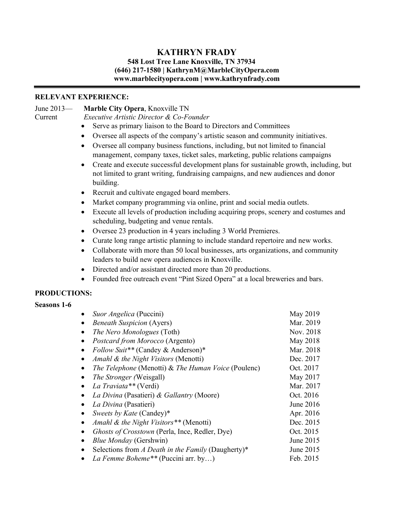# **KATHRYN FRADY**

## **548 Lost Tree Lane Knoxville, TN 37934 (646) 217-1580 | KathrynM@MarbleCityOpera.com www.marblecityopera.com | www.kathrynfrady.com**

# **RELEVANT EXPERIENCE:**

## June 2013— **Marble City Opera**, Knoxville TN

Current *Executive Artistic Director & Co-Founder*

- Serve as primary liaison to the Board to Directors and Committees
- Oversee all aspects of the company's artistic season and community initiatives.
- Oversee all company business functions, including, but not limited to financial management, company taxes, ticket sales, marketing, public relations campaigns
- Create and execute successful development plans for sustainable growth, including, but not limited to grant writing, fundraising campaigns, and new audiences and donor building.
- Recruit and cultivate engaged board members.
- Market company programming via online, print and social media outlets.
- Execute all levels of production including acquiring props, scenery and costumes and scheduling, budgeting and venue rentals.
- Oversee 23 production in 4 years including 3 World Premieres.
- Curate long range artistic planning to include standard repertoire and new works.
- Collaborate with more than 50 local businesses, arts organizations, and community leaders to build new opera audiences in Knoxville.
- Directed and/or assistant directed more than 20 productions.
- Founded free outreach event "Pint Sized Opera" at a local breweries and bars.

# **PRODUCTIONS:**

## **Seasons 1-6**

|   | Suor Angelica (Puccini)                               | May 2019  |
|---|-------------------------------------------------------|-----------|
|   | <b>Beneath Suspicion (Ayers)</b>                      | Mar. 2019 |
|   | <i>The Nero Monologues</i> (Toth)                     | Nov. 2018 |
|   | Postcard from Morocco (Argento)                       | May 2018  |
|   | Follow Suit** (Candey & Anderson)*                    | Mar. 2018 |
|   | Amahl & the Night Visitors (Menotti)                  | Dec. 2017 |
|   | The Telephone (Menotti) & The Human Voice (Poulenc)   | Oct. 2017 |
|   | <i>The Stronger (Weisgall)</i>                        | May 2017  |
|   | La Traviata** (Verdi)                                 | Mar. 2017 |
|   | La Divina (Pasatieri) & Gallantry (Moore)             | Oct. 2016 |
|   | La Divina (Pasatieri)                                 | June 2016 |
| ٠ | Sweets by Kate (Candey)*                              | Apr. 2016 |
|   | Amahl & the Night Visitors ** (Menotti)               | Dec. 2015 |
|   | <i>Ghosts of Crosstown</i> (Perla, Ince, Redler, Dye) | Oct. 2015 |
|   | <b>Blue Monday</b> (Gershwin)                         | June 2015 |
|   | Selections from A Death in the Family (Daugherty)*    | June 2015 |
|   | La Femme Boheme** (Puccini arr. by)                   | Feb. 2015 |
|   |                                                       |           |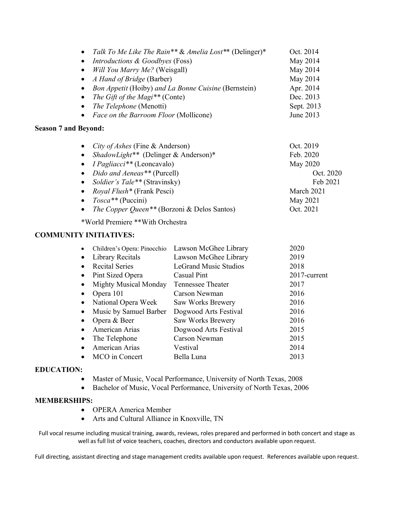|           | • Talk To Me Like The Rain** & Amelia Lost** (Delinger)* | Oct. 2014  |
|-----------|----------------------------------------------------------|------------|
| $\bullet$ | <i>Introductions &amp; Goodbyes (Foss)</i>               | May 2014   |
| $\bullet$ | Will You Marry Me? (Weisgall)                            | May 2014   |
|           | • $A$ Hand of Bridge (Barber)                            | May 2014   |
|           | • Bon Appetit (Hoiby) and La Bonne Cuisine (Bernstein)   | Apr. 2014  |
|           | • The Gift of the Magi <sup>**</sup> (Conte)             | Dec. 2013  |
|           | • The Telephone (Menotti)                                | Sept. 2013 |
|           | • Face on the Barroom Floor (Mollicone)                  | June 2013  |

## **Season 7 and Beyond:**

| • <i>City of Ashes</i> (Fine & Anderson)                  | Oct. 2019  |
|-----------------------------------------------------------|------------|
| • ShadowLight <sup>**</sup> (Delinger & Anderson)*        | Feb. 2020  |
| • $I \rho$ <i>Pagliacci</i> <sup>**</sup> (Leoncavalo)    | May 2020   |
| • Dido and Aeneas** (Purcell)                             | Oct. 2020  |
| • Soldier's Tale** (Stravinsky)                           | Feb 2021   |
| • Royal Flush <sup>*</sup> (Frank Pesci)                  | March 2021 |
| • $Tosca**$ (Puccini)                                     | May 2021   |
| • The Copper Queen <sup>**</sup> (Borzoni & Delos Santos) | Oct. 2021  |
|                                                           |            |

\*World Premiere \*\*With Orchestra

# **COMMUNITY INITIATIVES:**

| Children's Opera: Pinocchio  | Lawson McGhee Library        | 2020         |
|------------------------------|------------------------------|--------------|
| <b>Library Recitals</b>      | Lawson McGhee Library        | 2019         |
| <b>Recital Series</b>        | <b>LeGrand Music Studios</b> | 2018         |
| Pint Sized Opera             | Casual Pint                  | 2017-current |
| <b>Mighty Musical Monday</b> | <b>Tennessee Theater</b>     | 2017         |
| Opera 101                    | Carson Newman                | 2016         |
| National Opera Week          | Saw Works Brewery            | 2016         |
| Music by Samuel Barber       | Dogwood Arts Festival        | 2016         |
| Opera & Beer                 | Saw Works Brewery            | 2016         |
| American Arias               | Dogwood Arts Festival        | 2015         |
| The Telephone                | Carson Newman                | 2015         |
| American Arias               | Vestival                     | 2014         |
| MCO in Concert               | Bella Luna                   | 2013         |
|                              |                              |              |

# **EDUCATION:**

- Master of Music, Vocal Performance, University of North Texas, 2008
- Bachelor of Music, Vocal Performance, University of North Texas, 2006

## **MEMBERSHIPS:**

- OPERA America Member
- Arts and Cultural Alliance in Knoxville, TN

Full vocal resume including musical training, awards, reviews, roles prepared and performed in both concert and stage as well as full list of voice teachers, coaches, directors and conductors available upon request.

Full directing, assistant directing and stage management credits available upon request. References available upon request.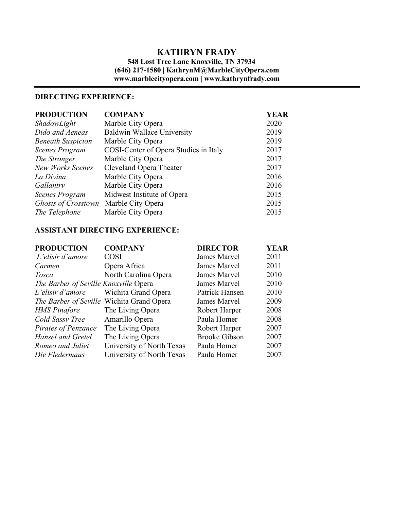# **KATHRYN FRADY**

# **548 Lost Tree Lane Knoxville, TN 37934 (646) 217-1580 | KathrynM@MarbleCityOpera.com www.marblecityopera.com | www.kathrynfrady.com**

# **DIRECTING EXPERIENCE:**

| <b>COMPANY</b>                                  | <b>YEAR</b> |
|-------------------------------------------------|-------------|
| Marble City Opera                               | 2020        |
| <b>Baldwin Wallace University</b>               | 2019        |
| Marble City Opera                               | 2019        |
| COSI-Center of Opera Studies in Italy           | 2017        |
| Marble City Opera                               | 2017        |
| Cleveland Opera Theater                         | 2017        |
| Marble City Opera                               | 2016        |
| Marble City Opera                               | 2016        |
| Midwest Institute of Opera                      | 2015        |
| <b>Ghosts of Crosstown</b><br>Marble City Opera | 2015        |
| Marble City Opera                               | 2015        |
|                                                 |             |

## **ASSISTANT DIRECTING EXPERIENCE:**

| <b>PRODUCTION</b>                     | <b>COMPANY</b>                            | <b>DIRECTOR</b>      | <b>YEAR</b> |
|---------------------------------------|-------------------------------------------|----------------------|-------------|
| L'elisir d'amore                      | <b>COSI</b>                               | James Marvel         | 2011        |
| Carmen                                | Opera Africa                              | James Marvel         | 2011        |
| Tosca                                 | North Carolina Opera                      | James Marvel         | 2010        |
| The Barber of Seville Knoxville Opera |                                           | James Marvel         | 2010        |
| L'elisir d'amore                      | Wichita Grand Opera                       | Patrick Hansen       | 2010        |
|                                       | The Barber of Seville Wichita Grand Opera | James Marvel         | 2009        |
| <b>HMS</b> Pinafore                   | The Living Opera                          | Robert Harper        | 2008        |
| Cold Sassy Tree                       | Amarillo Opera                            | Paula Homer          | 2008        |
| Pirates of Penzance                   | The Living Opera                          | Robert Harper        | 2007        |
| Hansel and Gretel                     | The Living Opera                          | <b>Brooke Gibson</b> | 2007        |
| Romeo and Juliet                      | University of North Texas                 | Paula Homer          | 2007        |
| Die Fledermaus                        | University of North Texas                 | Paula Homer          | 2007        |
|                                       |                                           |                      |             |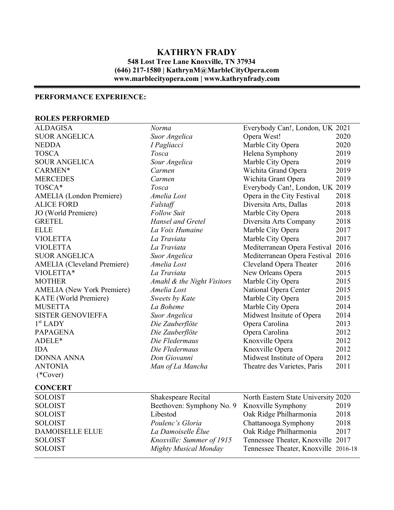# **KATHRYN FRADY 548 Lost Tree Lane Knoxville, TN 37934 (646) 217-1580 | KathrynM@MarbleCityOpera.com www.marblecityopera.com | www.kathrynfrady.com**

# **PERFORMANCE EXPERIENCE:**

## **ROLES PERFORMED**

| <b>ALDAGISA</b>                    | Norma                        | Everybody Can!, London, UK 2021      |      |
|------------------------------------|------------------------------|--------------------------------------|------|
| <b>SUOR ANGELICA</b>               | Suor Angelica                | Opera West!                          | 2020 |
| <b>NEDDA</b>                       | I Pagliacci                  | Marble City Opera                    | 2020 |
| <b>TOSCA</b>                       | Tosca                        | Helena Symphony                      | 2019 |
| <b>SOUR ANGELICA</b>               | Sour Angelica                | Marble City Opera                    | 2019 |
| CARMEN*                            | Carmen                       | Wichita Grand Opera                  | 2019 |
| <b>MERCEDES</b>                    | Carmen                       | Wichita Grant Opera                  | 2019 |
| TOSCA*                             | Tosca                        | Everybody Can!, London, UK 2019      |      |
| <b>AMELIA</b> (London Premiere)    | Amelia Lost                  | Opera in the City Festival           | 2018 |
| <b>ALICE FORD</b>                  | Falstaff                     | Diversita Arts, Dallas               | 2018 |
| JO (World Premiere)                | <b>Follow Suit</b>           | Marble City Opera                    | 2018 |
| <b>GRETEL</b>                      | <b>Hansel and Gretel</b>     | Diversita Arts Company               | 2018 |
| <b>ELLE</b>                        | La Voix Humaine              | Marble City Opera                    | 2017 |
| <b>VIOLETTA</b>                    | La Traviata                  | Marble City Opera                    | 2017 |
| <b>VIOLETTA</b>                    | La Traviata                  | Mediterranean Opera Festival         | 2016 |
| <b>SUOR ANGELICA</b>               | Suor Angelica                | Mediterranean Opera Festival         | 2016 |
| <b>AMELIA</b> (Cleveland Premiere) | Amelia Lost                  | Cleveland Opera Theater              | 2016 |
| VIOLETTA*                          | La Traviata                  | New Orleans Opera                    | 2015 |
| <b>MOTHER</b>                      | Amahl & the Night Visitors   | Marble City Opera                    | 2015 |
| <b>AMELIA</b> (New York Premiere)  | Amelia Lost                  | National Opera Center                | 2015 |
| <b>KATE</b> (World Premiere)       | Sweets by Kate               | Marble City Opera                    | 2015 |
| <b>MUSETTA</b>                     | La Boheme                    | Marble City Opera                    | 2014 |
| <b>SISTER GENOVIEFFA</b>           | Suor Angelica                | Midwest Insitute of Opera            | 2014 |
| $1st$ LADY                         | Die Zauberflöte              | Opera Carolina                       | 2013 |
| <b>PAPAGENA</b>                    | Die Zauberflöte              | Opera Carolina                       | 2012 |
| ADELE*                             | Die Fledermaus               | Knoxville Opera                      | 2012 |
| <b>IDA</b>                         | Die Fledermaus               | Knoxville Opera                      | 2012 |
| <b>DONNA ANNA</b>                  | Don Giovanni                 | Midwest Institute of Opera           | 2012 |
| <b>ANTONIA</b>                     | Man of La Mancha             | Theatre des Varietes, Paris          | 2011 |
| $(*Cover)$                         |                              |                                      |      |
| <b>CONCERT</b>                     |                              |                                      |      |
| <b>SOLOIST</b>                     | Shakespeare Recital          | North Eastern State University 2020  |      |
| <b>SOLOIST</b>                     | Beethoven: Symphony No. 9    | Knoxville Symphony                   | 2019 |
| <b>SOLOIST</b>                     | Libestod                     | Oak Ridge Philharmonia               | 2018 |
| <b>SOLOIST</b>                     | Poulenc's Gloria             | Chattanooga Symphony                 | 2018 |
| <b>DAMOISELLE ELUE</b>             | La Damoiselle Élue           | Oak Ridge Philharmonia               | 2017 |
| <b>SOLOIST</b>                     | Knoxville: Summer of 1915    | Tennessee Theater, Knoxville 2017    |      |
| <b>SOLOIST</b>                     | <b>Mighty Musical Monday</b> | Tennessee Theater, Knoxville 2016-18 |      |
|                                    |                              |                                      |      |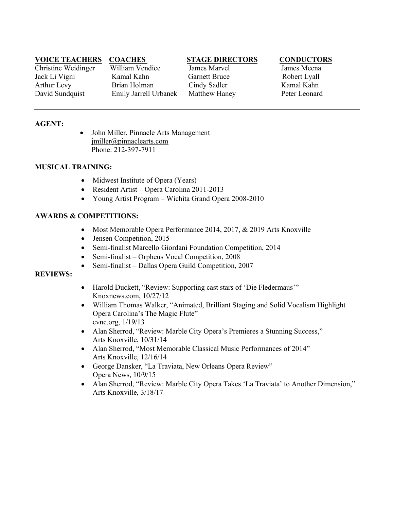# **VOICE TEACHERS COACHES STAGE DIRECTORS CONDUCTORS**

Christine Weidinger William Vendice James Marvel James Meena Jack Li Vigni Kamal Kahn Garnett Bruce Robert Lyall Arthur Levy Brian Holman Cindy Sadler Kamal Kahn David Sundquist Emily Jarrell Urbanek Matthew Haney Peter Leonard

## **AGENT:**

• John Miller, Pinnacle Arts Management jmiller@pinnaclearts.com Phone: 212-397-7911

### **MUSICAL TRAINING:**

- Midwest Institute of Opera (Years)
- Resident Artist Opera Carolina 2011-2013
- Young Artist Program Wichita Grand Opera 2008-2010

## **AWARDS & COMPETITIONS:**

- Most Memorable Opera Performance 2014, 2017, & 2019 Arts Knoxville
- Jensen Competition, 2015
- Semi-finalist Marcello Giordani Foundation Competition, 2014
- Semi-finalist Orpheus Vocal Competition, 2008
- Semi-finalist Dallas Opera Guild Competition, 2007

### **REVIEWS:**

- Harold Duckett, "Review: Supporting cast stars of 'Die Fledermaus'" Knoxnews.com, 10/27/12
- William Thomas Walker, "Animated, Brilliant Staging and Solid Vocalism Highlight Opera Carolina's The Magic Flute" cvnc.org, 1/19/13
- Alan Sherrod, "Review: Marble City Opera's Premieres a Stunning Success," Arts Knoxville, 10/31/14
- Alan Sherrod, "Most Memorable Classical Music Performances of 2014" Arts Knoxville, 12/16/14
- George Dansker, "La Traviata, New Orleans Opera Review" Opera News, 10/9/15
- Alan Sherrod, "Review: Marble City Opera Takes 'La Traviata' to Another Dimension," Arts Knoxville, 3/18/17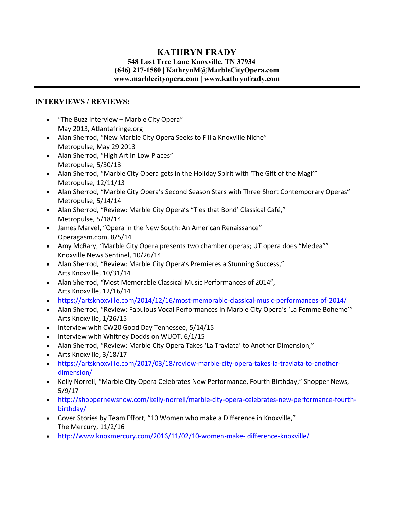# **KATHRYN FRADY**

## **548 Lost Tree Lane Knoxville, TN 37934 (646) 217-1580 | KathrynM@MarbleCityOpera.com www.marblecityopera.com | www.kathrynfrady.com**

# **INTERVIEWS / REVIEWS:**

- "The Buzz interview Marble City Opera" May 2013, Atlantafringe.org
- Alan Sherrod, "New Marble City Opera Seeks to Fill a Knoxville Niche" Metropulse, May 29 2013
- Alan Sherrod, "High Art in Low Places" Metropulse, 5/30/13
- Alan Sherrod, "Marble City Opera gets in the Holiday Spirit with 'The Gift of the Magi'" Metropulse, 12/11/13
- Alan Sherrod, "Marble City Opera's Second Season Stars with Three Short Contemporary Operas" Metropulse, 5/14/14
- Alan Sherrod, "Review: Marble City Opera's "Ties that Bond' Classical Café," Metropulse, 5/18/14
- James Marvel, "Opera in the New South: An American Renaissance" Operagasm.com, 8/5/14
- Amy McRary, "Marble City Opera presents two chamber operas; UT opera does "Medea"" Knoxville News Sentinel, 10/26/14
- Alan Sherrod, "Review: Marble City Opera's Premieres a Stunning Success," Arts Knoxville, 10/31/14
- Alan Sherrod, "Most Memorable Classical Music Performances of 2014", Arts Knoxville, 12/16/14
- https://artsknoxville.com/2014/12/16/most-memorable-classical-music-performances-of-2014/
- Alan Sherrod, "Review: Fabulous Vocal Performances in Marble City Opera's 'La Femme Boheme'" Arts Knoxville, 1/26/15
- Interview with CW20 Good Day Tennessee, 5/14/15
- Interview with Whitney Dodds on WUOT, 6/1/15
- Alan Sherrod, "Review: Marble City Opera Takes 'La Traviata' to Another Dimension,"
- Arts Knoxville, 3/18/17
- https://artsknoxville.com/2017/03/18/review-marble-city-opera-takes-la-traviata-to-anotherdimension/
- Kelly Norrell, "Marble City Opera Celebrates New Performance, Fourth Birthday," Shopper News, 5/9/17
- http://shoppernewsnow.com/kelly-norrell/marble-city-opera-celebrates-new-performance-fourthbirthday/
- Cover Stories by Team Effort, "10 Women who make a Difference in Knoxville," The Mercury, 11/2/16
- http://www.knoxmercury.com/2016/11/02/10-women-make- difference-knoxville/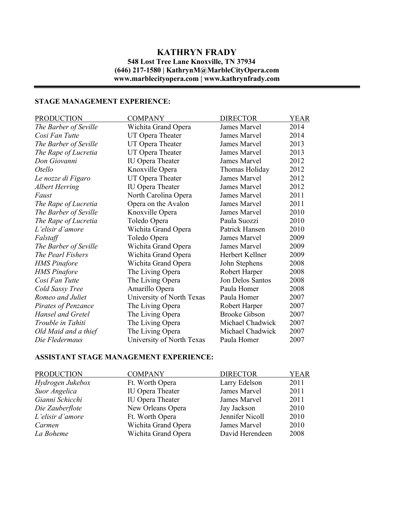# **KATHRYN FRADY 548 Lost Tree Lane Knoxville, TN 37934 (646) 217-1580 | KathrynM@MarbleCityOpera.com www.marblecityopera.com | www.kathrynfrady.com**

# **STAGE MANAGEMENT EXPERIENCE:**

| <b>PRODUCTION</b>     | <b>COMPANY</b>            | <b>DIRECTOR</b>      | <b>YEAR</b> |
|-----------------------|---------------------------|----------------------|-------------|
| The Barber of Seville | Wichita Grand Opera       | James Marvel         | 2014        |
| Cosi Fan Tutte        | UT Opera Theater          | James Marvel         | 2014        |
| The Barber of Seville | UT Opera Theater          | James Marvel         | 2013        |
| The Rape of Lucretia  | UT Opera Theater          | James Marvel         | 2013        |
| Don Giovanni          | <b>IU Opera Theater</b>   | James Marvel         | 2012        |
| Otello                | Knoxville Opera           | Thomas Holiday       | 2012        |
| Le nozze di Figaro    | UT Opera Theater          | <b>James Marvel</b>  | 2012        |
| <b>Albert Herring</b> | <b>IU Opera Theater</b>   | James Marvel         | 2012        |
| Faust                 | North Carolina Opera      | James Marvel         | 2011        |
| The Rape of Lucretia  | Opera on the Avalon       | James Marvel         | 2011        |
| The Barber of Seville | Knoxville Opera           | <b>James Marvel</b>  | 2010        |
| The Rape of Lucretia  | Toledo Opera              | Paula Suozzi         | 2010        |
| L'elisir d'amore      | Wichita Grand Opera       | Patrick Hansen       | 2010        |
| Falstaff              | Toledo Opera              | <b>James Marvel</b>  | 2009        |
| The Barber of Seville | Wichita Grand Opera       | <b>James Marvel</b>  | 2009        |
| The Pearl Fishers     | Wichita Grand Opera       | Herbert Kellner      | 2009        |
| <b>HMS</b> Pinafore   | Wichita Grand Opera       | John Stephens        | 2008        |
| <b>HMS</b> Pinafore   | The Living Opera          | Robert Harper        | 2008        |
| Cosi Fan Tutte        | The Living Opera          | Jon Delos Santos     | 2008        |
| Cold Sassy Tree       | Amarillo Opera            | Paula Homer          | 2008        |
| Romeo and Juliet      | University of North Texas | Paula Homer          | 2007        |
| Pirates of Penzance   | The Living Opera          | Robert Harper        | 2007        |
| Hansel and Gretel     | The Living Opera          | <b>Brooke Gibson</b> | 2007        |
| Trouble in Tahiti     | The Living Opera          | Michael Chadwick     | 2007        |
| Old Maid and a thief  | The Living Opera          | Michael Chadwick     | 2007        |
| Die Fledermaus        | University of North Texas | Paula Homer          | 2007        |

# **ASSISTANT STAGE MANAGEMENT EXPERIENCE:**

| <b>COMPANY</b>          | <b>DIRECTOR</b> | <b>YEAR</b> |
|-------------------------|-----------------|-------------|
| Ft. Worth Opera         | Larry Edelson   | 2011        |
| <b>IU</b> Opera Theater | James Marvel    | 2011        |
| <b>IU</b> Opera Theater | James Marvel    | 2011        |
| New Orleans Opera       | Jay Jackson     | 2010        |
| Ft. Worth Opera         | Jennifer Nicoll | 2010        |
| Wichita Grand Opera     | James Marvel    | 2010        |
| Wichita Grand Opera     | David Herendeen | 2008        |
|                         |                 |             |